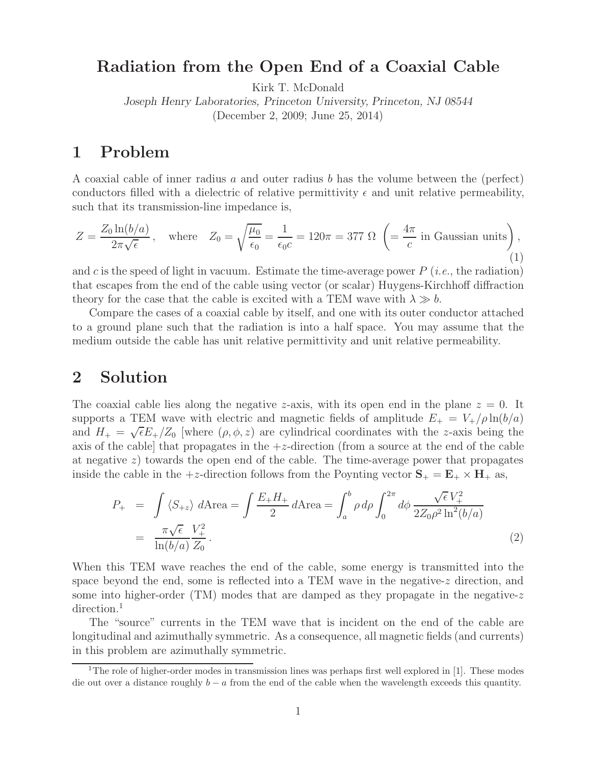# **Radiation from the Open End of a Coaxial Cable**

Kirk T. McDonald

*Joseph Henry Laboratories, Princeton University, Princeton, NJ 08544* (December 2, 2009; June 25, 2014)

# **1 Problem**

A coaxial cable of inner radius a and outer radius b has the volume between the (perfect) conductors filled with a dielectric of relative permittivity  $\epsilon$  and unit relative permeability, such that its transmission-line impedance is,

$$
Z = \frac{Z_0 \ln(b/a)}{2\pi\sqrt{\epsilon}}, \quad \text{where} \quad Z_0 = \sqrt{\frac{\mu_0}{\epsilon_0}} = \frac{1}{\epsilon_0 c} = 120\pi = 377 \text{ }\Omega \ \left( = \frac{4\pi}{c} \text{ in Gaussian units} \right), \tag{1}
$$

and  $c$  is the speed of light in vacuum. Estimate the time-average power  $P(i.e.,$  the radiation) that escapes from the end of the cable using vector (or scalar) Huygens-Kirchhoff diffraction theory for the case that the cable is excited with a TEM wave with  $\lambda \gg b$ .

Compare the cases of a coaxial cable by itself, and one with its outer conductor attached to a ground plane such that the radiation is into a half space. You may assume that the medium outside the cable has unit relative permittivity and unit relative permeability.

# **2 Solution**

The coaxial cable lies along the negative z-axis, with its open end in the plane  $z = 0$ . It supports a TEM wave with electric and magnetic fields of amplitude  $E_{+} = V_{+}/\rho \ln(b/a)$ supports a TEM wave with electric and magnetic here of amplitude  $E_+ - V_+ / p \ln(r/a)$ <br>and  $H_+ = \sqrt{\epsilon}E_+/Z_0$  [where  $(\rho, \phi, z)$  are cylindrical coordinates with the z-axis being the axis of the cable] that propagates in the  $+z$ -direction (from a source at the end of the cable at negative z) towards the open end of the cable. The time-average power that propagates inside the cable in the  $+z$ -direction follows from the Poynting vector  $S_+ = E_+ \times H_+$  as,

$$
P_{+} = \int \langle S_{+z} \rangle d\text{Area} = \int \frac{E_{+}H_{+}}{2} d\text{Area} = \int_{a}^{b} \rho d\rho \int_{0}^{2\pi} d\phi \frac{\sqrt{\epsilon} V_{+}^{2}}{2Z_{0}\rho^{2} \ln^{2}(b/a)}
$$
  
= 
$$
\frac{\pi\sqrt{\epsilon}}{\ln(b/a)} \frac{V_{+}^{2}}{Z_{0}}.
$$
 (2)

When this TEM wave reaches the end of the cable, some energy is transmitted into the space beyond the end, some is reflected into a TEM wave in the negative- $z$  direction, and some into higher-order (TM) modes that are damped as they propagate in the negative-z direction.<sup>1</sup>

The "source" currents in the TEM wave that is incident on the end of the cable are longitudinal and azimuthally symmetric. As a consequence, all magnetic fields (and currents) in this problem are azimuthally symmetric.

<sup>&</sup>lt;sup>1</sup>The role of higher-order modes in transmission lines was perhaps first well explored in [1]. These modes die out over a distance roughly  $b - a$  from the end of the cable when the wavelength exceeds this quantity.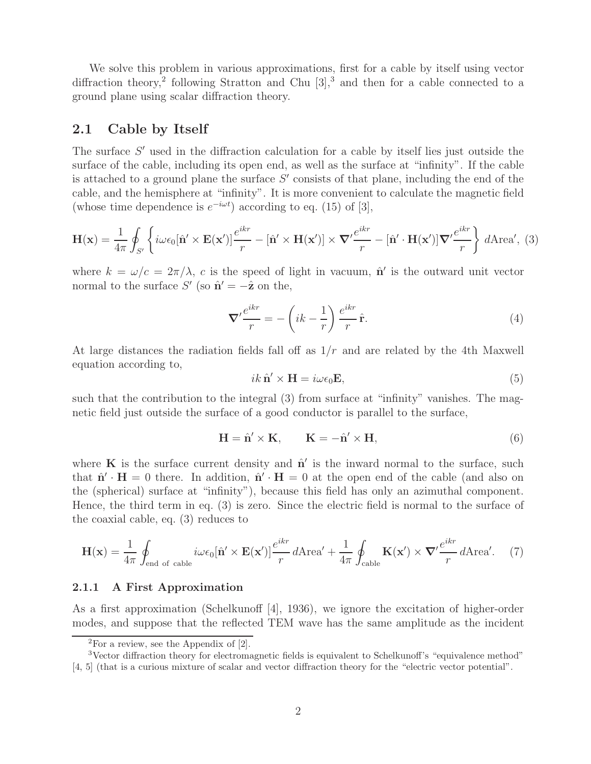We solve this problem in various approximations, first for a cable by itself using vector diffraction theory,<sup>2</sup> following Stratton and Chu  $[3]$ ,<sup>3</sup> and then for a cable connected to a ground plane using scalar diffraction theory.

### **2.1 Cable by Itself**

The surface  $S'$  used in the diffraction calculation for a cable by itself lies just outside the surface of the cable, including its open end, as well as the surface at "infinity". If the cable is attached to a ground plane the surface  $S'$  consists of that plane, including the end of the cable, and the hemisphere at "infinity". It is more convenient to calculate the magnetic field (whose time dependence is  $e^{-i\omega t}$ ) according to eq. (15) of [3],

$$
\mathbf{H}(\mathbf{x}) = \frac{1}{4\pi} \oint_{S'} \left\{ i\omega \epsilon_0 [\hat{\mathbf{n}}' \times \mathbf{E}(\mathbf{x}')] \frac{e^{ikr}}{r} - [\hat{\mathbf{n}}' \times \mathbf{H}(\mathbf{x}')] \times \nabla' \frac{e^{ikr}}{r} - [\hat{\mathbf{n}}' \cdot \mathbf{H}(\mathbf{x}')] \nabla' \frac{e^{ikr}}{r} \right\} d\text{Area}', \tag{3}
$$

where  $k = \omega/c = 2\pi/\lambda$ , c is the speed of light in vacuum,  $\hat{\mathbf{n}}'$  is the outward unit vector normal to the surface  $S'$  (so  $\hat{\mathbf{n}}' = -\hat{\mathbf{z}}$  on the,

$$
\nabla' \frac{e^{ikr}}{r} = -\left(ik - \frac{1}{r}\right) \frac{e^{ikr}}{r} \hat{\mathbf{r}}.
$$
 (4)

At large distances the radiation fields fall off as  $1/r$  and are related by the 4th Maxwell equation according to,

$$
ik \hat{\mathbf{n}}' \times \mathbf{H} = i\omega \epsilon_0 \mathbf{E},\tag{5}
$$

such that the contribution to the integral (3) from surface at "infinity" vanishes. The magnetic field just outside the surface of a good conductor is parallel to the surface,

$$
\mathbf{H} = \hat{\mathbf{n}}' \times \mathbf{K}, \qquad \mathbf{K} = -\hat{\mathbf{n}}' \times \mathbf{H}, \tag{6}
$$

where  $\bf{K}$  is the surface current density and  $\hat{\bf{n}}'$  is the inward normal to the surface, such that  $\hat{\mathbf{n}}' \cdot \mathbf{H} = 0$  there. In addition,  $\hat{\mathbf{n}}' \cdot \mathbf{H} = 0$  at the open end of the cable (and also on the (spherical) surface at "infinity"), because this field has only an azimuthal component. Hence, the third term in eq. (3) is zero. Since the electric field is normal to the surface of the coaxial cable, eq. (3) reduces to

$$
\mathbf{H}(\mathbf{x}) = \frac{1}{4\pi} \oint_{\text{end of cable}} i\omega \epsilon_0 [\hat{\mathbf{n}}' \times \mathbf{E}(\mathbf{x}')] \frac{e^{ikr}}{r} d\text{Area}' + \frac{1}{4\pi} \oint_{\text{cable}} \mathbf{K}(\mathbf{x}') \times \nabla' \frac{e^{ikr}}{r} d\text{Area}'. \quad (7)
$$

### **2.1.1 A First Approximation**

As a first approximation (Schelkunoff [4], 1936), we ignore the excitation of higher-order modes, and suppose that the reflected TEM wave has the same amplitude as the incident

 $\overline{^{2}$ For a review, see the Appendix of [2].

<sup>&</sup>lt;sup>3</sup>Vector diffraction theory for electromagnetic fields is equivalent to Schelkunoff's "equivalence method" [4, 5] (that is a curious mixture of scalar and vector diffraction theory for the "electric vector potential".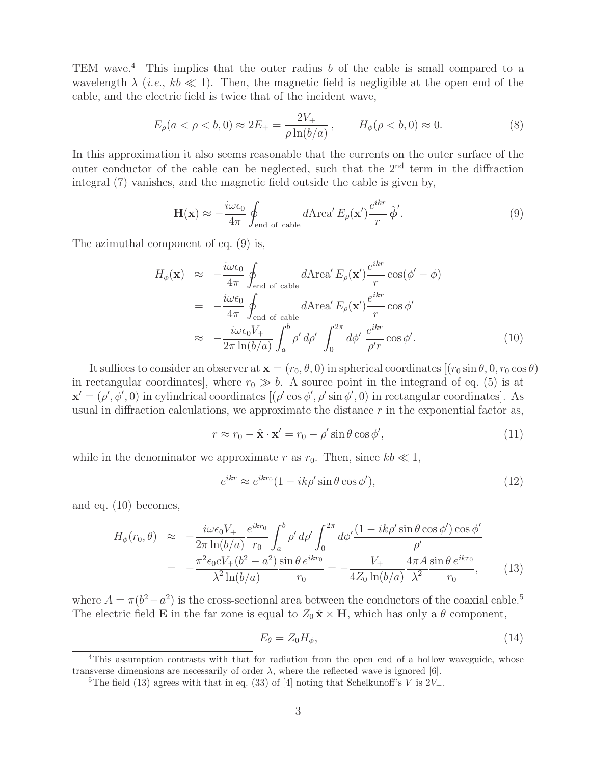TEM wave.<sup>4</sup> This implies that the outer radius  $b$  of the cable is small compared to a wavelength  $\lambda$  (*i.e.*,  $kb \ll 1$ ). Then, the magnetic field is negligible at the open end of the cable, and the electric field is twice that of the incident wave,

$$
E_{\rho}(a < \rho < b, 0) \approx 2E_{+} = \frac{2V_{+}}{\rho \ln(b/a)}, \qquad H_{\phi}(\rho < b, 0) \approx 0. \tag{8}
$$

In this approximation it also seems reasonable that the currents on the outer surface of the outer conductor of the cable can be neglected, such that the 2<sup>nd</sup> term in the diffraction integral (7) vanishes, and the magnetic field outside the cable is given by,

$$
\mathbf{H}(\mathbf{x}) \approx -\frac{i\omega\epsilon_0}{4\pi} \oint_{\text{end of cable}} d\text{Area}' E_{\rho}(\mathbf{x}') \frac{e^{ikr}}{r} \hat{\boldsymbol{\phi}}'. \tag{9}
$$

The azimuthal component of eq. (9) is,

$$
H_{\phi}(\mathbf{x}) \approx -\frac{i\omega\epsilon_{0}}{4\pi} \oint_{\text{end of cable}} d\text{Area}' E_{\rho}(\mathbf{x}') \frac{e^{ikr}}{r} \cos(\phi' - \phi)
$$
  
= 
$$
-\frac{i\omega\epsilon_{0}}{4\pi} \oint_{\text{end of cable}} d\text{Area}' E_{\rho}(\mathbf{x}') \frac{e^{ikr}}{r} \cos\phi'
$$
  

$$
\approx -\frac{i\omega\epsilon_{0}V_{+}}{2\pi \ln(b/a)} \int_{a}^{b} \rho' d\rho' \int_{0}^{2\pi} d\phi' \frac{e^{ikr}}{\rho'r} \cos\phi'. \tag{10}
$$

It suffices to consider an observer at  $\mathbf{x} = (r_0, \theta, 0)$  in spherical coordinates  $[(r_0 \sin \theta, 0, r_0 \cos \theta)]$ in rectangular coordinates], where  $r_0 \gg b$ . A source point in the integrand of eq. (5) is at  $\mathbf{x}' = (\rho', \phi', 0)$  in cylindrical coordinates  $[(\rho' \cos \phi', \rho' \sin \phi', 0)]$  in rectangular coordinates. usual in diffraction calculations, we approximate the distance  $r$  in the exponential factor as,

$$
r \approx r_0 - \hat{\mathbf{x}} \cdot \mathbf{x}' = r_0 - \rho' \sin \theta \cos \phi', \tag{11}
$$

while in the denominator we approximate r as  $r_0$ . Then, since  $kb \ll 1$ ,

$$
e^{ikr} \approx e^{ikr_0} (1 - ik\rho' \sin\theta \cos\phi'),\tag{12}
$$

and eq. (10) becomes,

$$
H_{\phi}(r_0, \theta) \approx -\frac{i\omega\epsilon_0 V_+}{2\pi \ln(b/a)} \frac{e^{ikr_0}}{r_0} \int_a^b \rho' d\rho' \int_0^{2\pi} d\phi' \frac{(1 - ik\rho' \sin\theta \cos\phi') \cos\phi'}{\rho'}
$$
  
= 
$$
-\frac{\pi^2 \epsilon_0 c V_+ (b^2 - a^2)}{\lambda^2 \ln(b/a)} \frac{\sin\theta e^{ikr_0}}{r_0} = -\frac{V_+}{4Z_0 \ln(b/a)} \frac{4\pi A \sin\theta e^{ikr_0}}{\lambda^2 r_0},
$$
(13)

where  $A = \pi(b^2 - a^2)$  is the cross-sectional area between the conductors of the coaxial cable.<sup>5</sup> The electric field **E** in the far zone is equal to  $Z_0 \hat{\mathbf{x}} \times \mathbf{H}$ , which has only a  $\theta$  component,

$$
E_{\theta} = Z_0 H_{\phi},\tag{14}
$$

<sup>&</sup>lt;sup>4</sup>This assumption contrasts with that for radiation from the open end of a hollow waveguide, whose transverse dimensions are necessarily of order  $\lambda$ , where the reflected wave is ignored [6].

<sup>&</sup>lt;sup>5</sup>The field (13) agrees with that in eq. (33) of [4] noting that Schelkunoff's V is  $2V_+$ .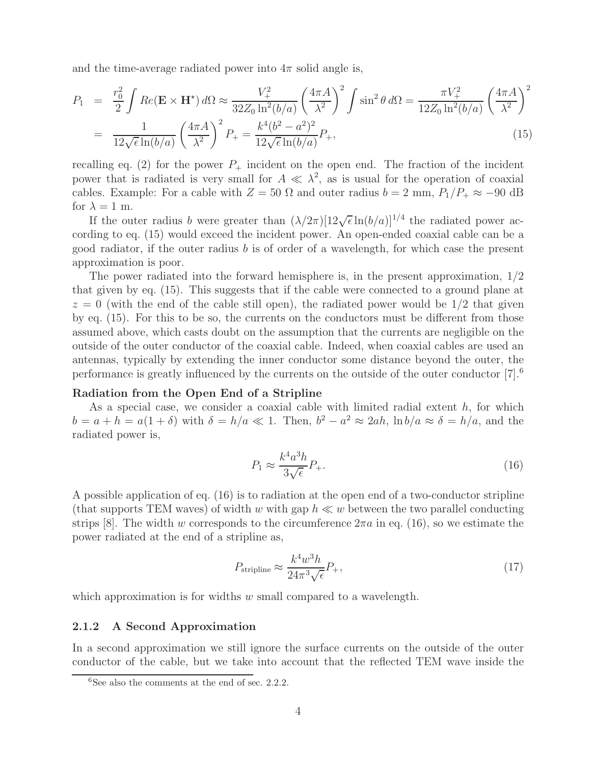and the time-average radiated power into  $4\pi$  solid angle is,

$$
P_1 = \frac{r_0^2}{2} \int Re(\mathbf{E} \times \mathbf{H}^*) d\Omega \approx \frac{V_+^2}{32Z_0 \ln^2(b/a)} \left(\frac{4\pi A}{\lambda^2}\right)^2 \int \sin^2 \theta d\Omega = \frac{\pi V_+^2}{12Z_0 \ln^2(b/a)} \left(\frac{4\pi A}{\lambda^2}\right)^2
$$
  
= 
$$
\frac{1}{12\sqrt{\epsilon} \ln(b/a)} \left(\frac{4\pi A}{\lambda^2}\right)^2 P_+ = \frac{k^4(b^2 - a^2)^2}{12\sqrt{\epsilon} \ln(b/a)} P_+, \tag{15}
$$

recalling eq. (2) for the power  $P_+$  incident on the open end. The fraction of the incident power that is radiated is very small for  $A \ll \lambda^2$ , as is usual for the operation of coaxial cables. Example: For a cable with  $Z = 50 \Omega$  and outer radius  $b = 2 \text{ mm}$ ,  $P_1/P_+ \approx -90 \text{ dB}$ for  $\lambda = 1$  m.

If the outer radius b were greater than  $(\lambda/2\pi)[12\sqrt{\epsilon} \ln(b/a)]^{1/4}$  the radiated power according to eq. (15) would exceed the incident power. An open-ended coaxial cable can be a good radiator, if the outer radius  $b$  is of order of a wavelength, for which case the present approximation is poor.

The power radiated into the forward hemisphere is, in the present approximation,  $1/2$ that given by eq. (15). This suggests that if the cable were connected to a ground plane at  $z = 0$  (with the end of the cable still open), the radiated power would be  $1/2$  that given by eq. (15). For this to be so, the currents on the conductors must be different from those assumed above, which casts doubt on the assumption that the currents are negligible on the outside of the outer conductor of the coaxial cable. Indeed, when coaxial cables are used an antennas, typically by extending the inner conductor some distance beyond the outer, the performance is greatly influenced by the currents on the outside of the outer conductor  $[7]$ .<sup>6</sup>

### **Radiation from the Open End of a Stripline**

As a special case, we consider a coaxial cable with limited radial extent  $h$ , for which  $b = a + h = a(1 + \delta)$  with  $\delta = h/a \ll 1$ . Then,  $b^2 - a^2 \approx 2ah$ ,  $\ln b/a \approx \delta = h/a$ , and the radiated power is,

$$
P_1 \approx \frac{k^4 a^3 h}{3\sqrt{\epsilon}} P_+.\tag{16}
$$

A possible application of eq. (16) is to radiation at the open end of a two-conductor stripline (that supports TEM waves) of width w with gap  $h \ll w$  between the two parallel conducting strips [8]. The width w corresponds to the circumference  $2\pi a$  in eq. (16), so we estimate the power radiated at the end of a stripline as,

$$
P_{\text{stripline}} \approx \frac{k^4 w^3 h}{24\pi^3 \sqrt{\epsilon}} P_+, \tag{17}
$$

which approximation is for widths  $w$  small compared to a wavelength.

### **2.1.2 A Second Approximation**

In a second approximation we still ignore the surface currents on the outside of the outer conductor of the cable, but we take into account that the reflected TEM wave inside the

 ${}^{6}$ See also the comments at the end of sec. 2.2.2.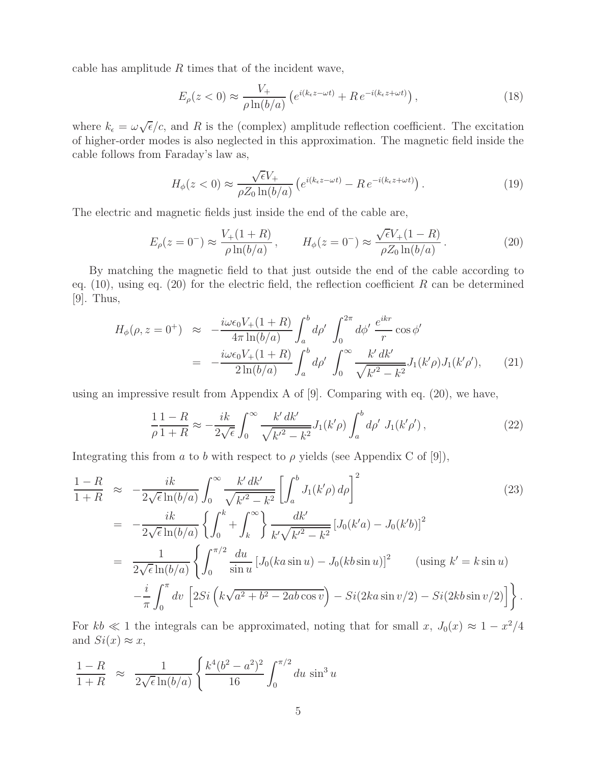cable has amplitude  $R$  times that of the incident wave,

$$
E_{\rho}(z<0) \approx \frac{V_{+}}{\rho \ln(b/a)} \left( e^{i(k_{\epsilon}z - \omega t)} + R e^{-i(k_{\epsilon}z + \omega t)} \right), \qquad (18)
$$

where  $k_{\epsilon} = \omega \sqrt{\epsilon}/c$ , and R is the (complex) amplitude reflection coefficient. The excitation of higher-order modes is also neglected in this approximation. The magnetic field inside the cable follows from Faraday's law as,

$$
H_{\phi}(z<0) \approx \frac{\sqrt{\epsilon}V_{+}}{\rho Z_{0}\ln(b/a)} \left(e^{i(k_{\epsilon}z-\omega t)} - Re^{-i(k_{\epsilon}z+\omega t)}\right). \tag{19}
$$

The electric and magnetic fields just inside the end of the cable are,

$$
E_{\rho}(z=0^{-}) \approx \frac{V_{+}(1+R)}{\rho \ln(b/a)}, \qquad H_{\phi}(z=0^{-}) \approx \frac{\sqrt{\epsilon}V_{+}(1-R)}{\rho Z_{0} \ln(b/a)}.
$$
 (20)

By matching the magnetic field to that just outside the end of the cable according to eq. (10), using eq. (20) for the electric field, the reflection coefficient R can be determined [9]. Thus,

$$
H_{\phi}(\rho, z = 0^{+}) \approx -\frac{i\omega\epsilon_{0}V_{+}(1+R)}{4\pi \ln(b/a)} \int_{a}^{b} d\rho' \int_{0}^{2\pi} d\phi' \frac{e^{ikr}}{r} \cos \phi'
$$
  
= 
$$
-\frac{i\omega\epsilon_{0}V_{+}(1+R)}{2\ln(b/a)} \int_{a}^{b} d\rho' \int_{0}^{\infty} \frac{k' dk'}{\sqrt{k'^{2} - k^{2}}} J_{1}(k'\rho) J_{1}(k'\rho'), \qquad (21)
$$

using an impressive result from Appendix A of [9]. Comparing with eq. (20), we have,

$$
\frac{1}{\rho} \frac{1-R}{1+R} \approx -\frac{ik}{2\sqrt{\epsilon}} \int_0^\infty \frac{k' \, dk'}{\sqrt{k'^2 - k^2}} J_1(k'\rho) \int_a^b d\rho' J_1(k'\rho'),\tag{22}
$$

Integrating this from a to b with respect to  $\rho$  yields (see Appendix C of [9]),

$$
\frac{1-R}{1+R} \approx -\frac{ik}{2\sqrt{\epsilon}\ln(b/a)} \int_0^\infty \frac{k'dk'}{\sqrt{k'^2 - k^2}} \left[ \int_a^b J_1(k'\rho) d\rho \right]^2
$$
\n
$$
= -\frac{ik}{2\sqrt{\epsilon}\ln(b/a)} \left\{ \int_0^k + \int_k^\infty \right\} \frac{dk'}{k'\sqrt{k'^2 - k^2}} \left[ J_0(k'a) - J_0(k'b) \right]^2
$$
\n
$$
= \frac{1}{2\sqrt{\epsilon}\ln(b/a)} \left\{ \int_0^{\pi/2} \frac{du}{\sin u} \left[ J_0(ka\sin u) - J_0(kb\sin u) \right]^2 \quad \text{(using } k' = k\sin u)
$$
\n
$$
- \frac{i}{\pi} \int_0^\pi dv \left[ 2Si \left( k\sqrt{a^2 + b^2 - 2ab\cos v} \right) - Si(2ka\sin v/2) - Si(2kb\sin v/2) \right] \right\}.
$$
\n(23)

For  $kb \ll 1$  the integrals can be approximated, noting that for small x,  $J_0(x) \approx 1 - x^2/4$ and  $Si(x) \approx x$ ,

$$
\frac{1-R}{1+R} \approx \frac{1}{2\sqrt{\epsilon}\ln(b/a)} \left\{ \frac{k^4(b^2-a^2)^2}{16} \int_0^{\pi/2} du \sin^3 u \right\}
$$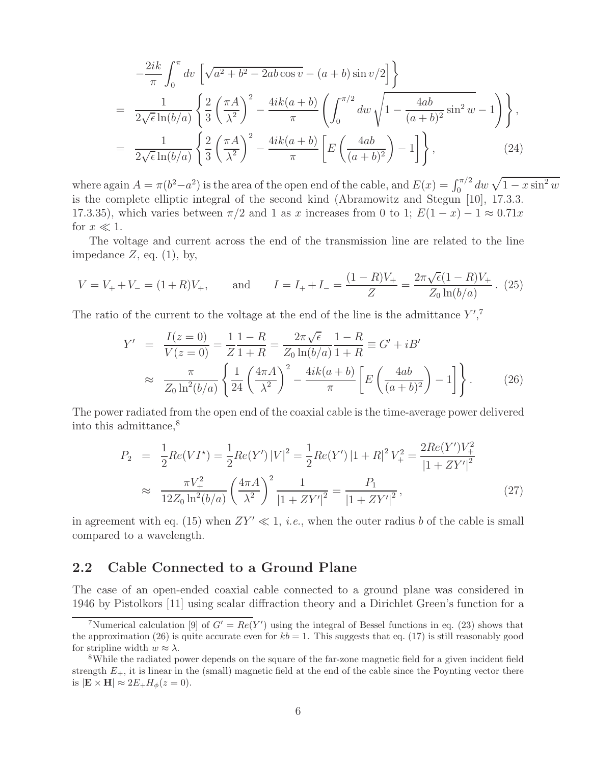$$
-\frac{2ik}{\pi} \int_0^{\pi} dv \left[ \sqrt{a^2 + b^2 - 2ab \cos v} - (a+b) \sin v/2 \right] \}
$$
  
= 
$$
\frac{1}{2\sqrt{\epsilon} \ln(b/a)} \left\{ \frac{2}{3} \left( \frac{\pi A}{\lambda^2} \right)^2 - \frac{4ik(a+b)}{\pi} \left( \int_0^{\pi/2} dw \sqrt{1 - \frac{4ab}{(a+b)^2} \sin^2 w} - 1 \right) \right\},
$$
  
= 
$$
\frac{1}{2\sqrt{\epsilon} \ln(b/a)} \left\{ \frac{2}{3} \left( \frac{\pi A}{\lambda^2} \right)^2 - \frac{4ik(a+b)}{\pi} \left[ E \left( \frac{4ab}{(a+b)^2} \right) - 1 \right] \right\},
$$
(24)

where again  $A = \pi(b^2 - a^2)$  is the area of the open end of the cable, and  $E(x) = \int_0^{\pi/2} dw \sqrt{1 - x \sin^2 w}$ is the complete elliptic integral of the second kind (Abramowitz and Stegun [10], 17.3.3. 17.3.35), which varies between  $\pi/2$  and 1 as x increases from 0 to 1;  $E(1-x) - 1 \approx 0.71x$ for  $x \ll 1$ .

The voltage and current across the end of the transmission line are related to the line impedance  $Z$ , eq.  $(1)$ , by,

$$
V = V_{+} + V_{-} = (1 + R)V_{+}, \quad \text{and} \quad I = I_{+} + I_{-} = \frac{(1 - R)V_{+}}{Z} = \frac{2\pi\sqrt{\epsilon}(1 - R)V_{+}}{Z_{0}\ln(b/a)}.
$$
 (25)

The ratio of the current to the voltage at the end of the line is the admittance  $Y^{\prime}$ ,<sup>7</sup>

$$
Y' = \frac{I(z=0)}{V(z=0)} = \frac{1}{Z} \frac{1-R}{1+R} = \frac{2\pi\sqrt{\epsilon}}{Z_0 \ln(b/a)} \frac{1-R}{1+R} \equiv G' + iB'
$$
  

$$
\approx \frac{\pi}{Z_0 \ln^2(b/a)} \left\{ \frac{1}{24} \left( \frac{4\pi A}{\lambda^2} \right)^2 - \frac{4ik(a+b)}{\pi} \left[ E \left( \frac{4ab}{(a+b)^2} \right) - 1 \right] \right\}.
$$
 (26)

The power radiated from the open end of the coaxial cable is the time-average power delivered into this admittance,<sup>8</sup>

$$
P_2 = \frac{1}{2} Re(VI^*) = \frac{1}{2} Re(Y') |V|^2 = \frac{1}{2} Re(Y') |1 + R|^2 V_+^2 = \frac{2Re(Y')V_+^2}{|1 + ZY'|^2}
$$
  

$$
\approx \frac{\pi V_+^2}{12Z_0 \ln^2(b/a)} \left(\frac{4\pi A}{\lambda^2}\right)^2 \frac{1}{|1 + ZY'|^2} = \frac{P_1}{|1 + ZY'|^2},
$$
 (27)

in agreement with eq. (15) when  $ZY' \ll 1$ , *i.e.*, when the outer radius b of the cable is small compared to a wavelength.

### **2.2 Cable Connected to a Ground Plane**

The case of an open-ended coaxial cable connected to a ground plane was considered in 1946 by Pistolkors [11] using scalar diffraction theory and a Dirichlet Green's function for a

<sup>&</sup>lt;sup>7</sup>Numerical calculation [9] of  $G' = Re(Y')$  using the integral of Bessel functions in eq. (23) shows that the approximation (26) is quite accurate even for  $kb = 1$ . This suggests that eq. (17) is still reasonably good for stripline width  $w \approx \lambda$ .<br><sup>8</sup>While the radiated power depends on the square of the far-zone magnetic field for a given incident field

strength  $E_{+}$ , it is linear in the (small) magnetic field at the end of the cable since the Poynting vector there is  $|\mathbf{E} \times \mathbf{H}| \approx 2E_{+}H_{\phi}(z=0).$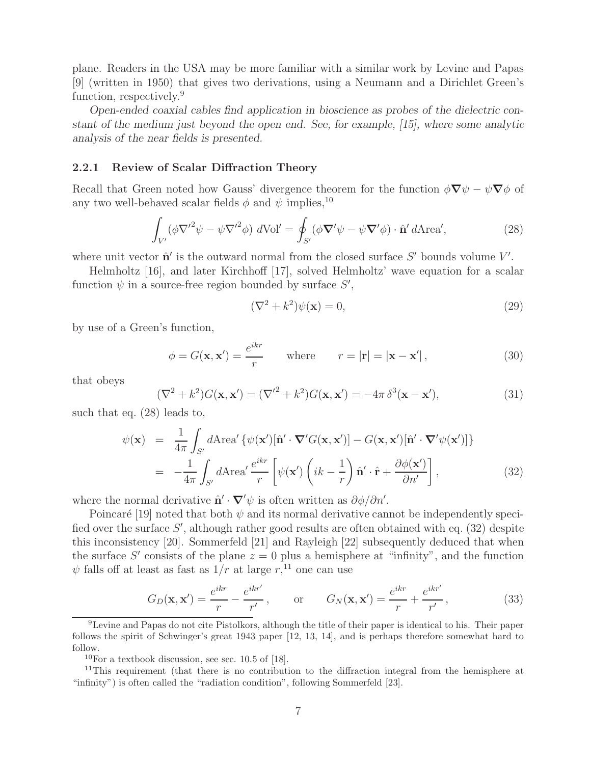plane. Readers in the USA may be more familiar with a similar work by Levine and Papas [9] (written in 1950) that gives two derivations, using a Neumann and a Dirichlet Green's function, respectively.<sup>9</sup>

*Open-ended coaxial cables find application in bioscience as probes of the dielectric constant of the medium just beyond the open end. See, for example, [15], where some analytic analysis of the near fields is presented.*

### **2.2.1 Review of Scalar Diffraction Theory**

Recall that Green noted how Gauss' divergence theorem for the function  $\phi \nabla \psi - \psi \nabla \phi$  of any two well-behaved scalar fields  $\phi$  and  $\psi$  implies.<sup>10</sup>

$$
\int_{V'} (\phi \nabla^{\prime 2} \psi - \psi \nabla^{\prime 2} \phi) dVol' = \oint_{S'} (\phi \nabla^{\prime} \psi - \psi \nabla^{\prime} \phi) \cdot \hat{\mathbf{n}}^{\prime} dArea',
$$
\n(28)

where unit vector  $\hat{\mathbf{n}}'$  is the outward normal from the closed surface  $S'$  bounds volume  $V'$ .

Helmholtz [16], and later Kirchhoff [17], solved Helmholtz' wave equation for a scalar function  $\psi$  in a source-free region bounded by surface  $S'$ ,

$$
(\nabla^2 + k^2)\psi(\mathbf{x}) = 0,\t(29)
$$

by use of a Green's function,

$$
\phi = G(\mathbf{x}, \mathbf{x}') = \frac{e^{ikr}}{r} \quad \text{where} \quad r = |\mathbf{r}| = |\mathbf{x} - \mathbf{x}'|,\tag{30}
$$

that obeys

$$
(\nabla^2 + k^2)G(\mathbf{x}, \mathbf{x}') = (\nabla'^2 + k^2)G(\mathbf{x}, \mathbf{x}') = -4\pi \delta^3(\mathbf{x} - \mathbf{x}'),\tag{31}
$$

such that eq. (28) leads to,

$$
\psi(\mathbf{x}) = \frac{1}{4\pi} \int_{S'} d\text{Area}' \left\{ \psi(\mathbf{x}')[\hat{\mathbf{n}}' \cdot \nabla' G(\mathbf{x}, \mathbf{x}')] - G(\mathbf{x}, \mathbf{x}')[\hat{\mathbf{n}}' \cdot \nabla' \psi(\mathbf{x}')] \right\}
$$
  
= 
$$
-\frac{1}{4\pi} \int_{S'} d\text{Area}' \frac{e^{ikr}}{r} \left[ \psi(\mathbf{x}') \left( ik - \frac{1}{r} \right) \hat{\mathbf{n}}' \cdot \hat{\mathbf{r}} + \frac{\partial \phi(\mathbf{x}')}{\partial n'} \right],
$$
(32)

where the normal derivative  $\hat{\mathbf{n}}' \cdot \nabla' \psi$  is often written as  $\partial \phi / \partial n'$ .

Poincaré [19] noted that both  $\psi$  and its normal derivative cannot be independently specified over the surface  $S'$ , although rather good results are often obtained with eq. (32) despite this inconsistency [20]. Sommerfeld [21] and Rayleigh [22] subsequently deduced that when the surface S' consists of the plane  $z = 0$  plus a hemisphere at "infinity", and the function  $\psi$  falls off at least as fast as  $1/r$  at large  $r, 11$  one can use

$$
G_D(\mathbf{x}, \mathbf{x}') = \frac{e^{ikr}}{r} - \frac{e^{ikr'}}{r'}, \qquad \text{or} \qquad G_N(\mathbf{x}, \mathbf{x}') = \frac{e^{ikr}}{r} + \frac{e^{ikr'}}{r'}, \tag{33}
$$

<sup>9</sup>Levine and Papas do not cite Pistolkors, although the title of their paper is identical to his. Their paper follows the spirit of Schwinger's great 1943 paper [12, 13, 14], and is perhaps therefore somewhat hard to follow.

 $10$ For a textbook discussion, see sec. 10.5 of [18].

<sup>&</sup>lt;sup>11</sup>This requirement (that there is no contribution to the diffraction integral from the hemisphere at "infinity") is often called the "radiation condition", following Sommerfeld [23].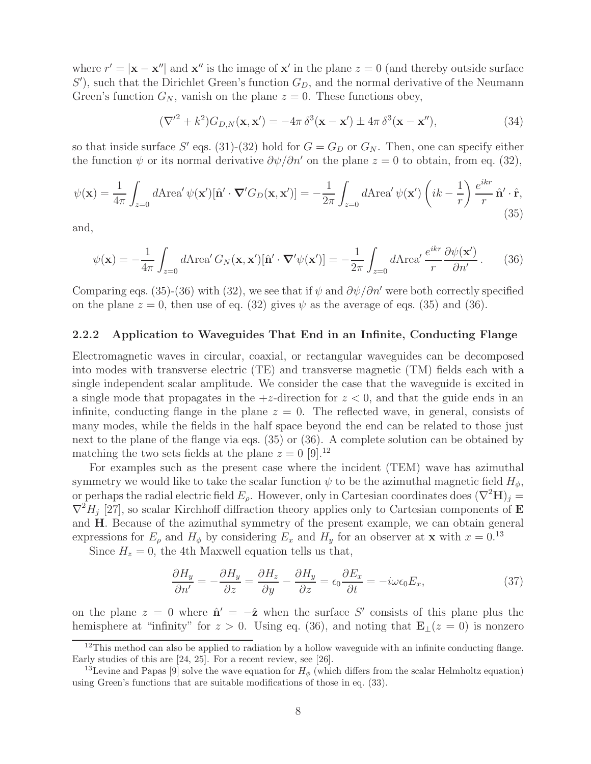where  $r' = |\mathbf{x} - \mathbf{x}''|$  and  $\mathbf{x}''$  is the image of  $\mathbf{x}'$  in the plane  $z = 0$  (and thereby outside surface  $S'$ , such that the Dirichlet Green's function  $G_D$ , and the normal derivative of the Neumann Green's function  $G_N$ , vanish on the plane  $z = 0$ . These functions obey,

$$
(\nabla'^{2} + k^{2})G_{D,N}(\mathbf{x}, \mathbf{x}') = -4\pi \delta^{3}(\mathbf{x} - \mathbf{x}') \pm 4\pi \delta^{3}(\mathbf{x} - \mathbf{x}''),
$$
\n(34)

so that inside surface S' eqs. (31)-(32) hold for  $G = G_D$  or  $G_N$ . Then, one can specify either the function  $\psi$  or its normal derivative  $\partial \psi / \partial n'$  on the plane  $z = 0$  to obtain, from eq. (32),

$$
\psi(\mathbf{x}) = \frac{1}{4\pi} \int_{z=0} d\text{Area}' \, \psi(\mathbf{x}')[\hat{\mathbf{n}}' \cdot \nabla' G_D(\mathbf{x}, \mathbf{x}')] = -\frac{1}{2\pi} \int_{z=0} d\text{Area}' \, \psi(\mathbf{x}') \left(ik - \frac{1}{r}\right) \frac{e^{ikr}}{r} \hat{\mathbf{n}}' \cdot \hat{\mathbf{r}},\tag{35}
$$

and,

$$
\psi(\mathbf{x}) = -\frac{1}{4\pi} \int_{z=0} d\text{Area}' G_N(\mathbf{x}, \mathbf{x}')[\hat{\mathbf{n}}' \cdot \nabla' \psi(\mathbf{x}')] = -\frac{1}{2\pi} \int_{z=0} d\text{Area}' \frac{e^{ikr}}{r} \frac{\partial \psi(\mathbf{x}')}{\partial n'}.
$$
 (36)

Comparing eqs. (35)-(36) with (32), we see that if  $\psi$  and  $\partial \psi / \partial n'$  were both correctly specified on the plane  $z = 0$ , then use of eq. (32) gives  $\psi$  as the average of eqs. (35) and (36).

#### **2.2.2 Application to Waveguides That End in an Infinite, Conducting Flange**

Electromagnetic waves in circular, coaxial, or rectangular waveguides can be decomposed into modes with transverse electric (TE) and transverse magnetic (TM) fields each with a single independent scalar amplitude. We consider the case that the waveguide is excited in a single mode that propagates in the  $+z$ -direction for  $z < 0$ , and that the guide ends in an infinite, conducting flange in the plane  $z = 0$ . The reflected wave, in general, consists of many modes, while the fields in the half space beyond the end can be related to those just next to the plane of the flange via eqs. (35) or (36). A complete solution can be obtained by matching the two sets fields at the plane  $z = 0$  [9].<sup>12</sup>

For examples such as the present case where the incident (TEM) wave has azimuthal symmetry we would like to take the scalar function  $\psi$  to be the azimuthal magnetic field  $H_{\phi}$ , or perhaps the radial electric field  $E_{\rho}$ . However, only in Cartesian coordinates does  $(\nabla^2 \mathbf{H})_j =$  $\nabla^2 H_j$  [27], so scalar Kirchhoff diffraction theory applies only to Cartesian components of **E** and **H**. Because of the azimuthal symmetry of the present example, we can obtain general expressions for  $E_{\rho}$  and  $H_{\phi}$  by considering  $E_x$  and  $H_y$  for an observer at **x** with  $x = 0.13$ 

Since  $H_z = 0$ , the 4th Maxwell equation tells us that,

$$
\frac{\partial H_y}{\partial n'} = -\frac{\partial H_y}{\partial z} = \frac{\partial H_z}{\partial y} - \frac{\partial H_y}{\partial z} = \epsilon_0 \frac{\partial E_x}{\partial t} = -i\omega \epsilon_0 E_x,\tag{37}
$$

on the plane  $z = 0$  where  $\hat{\mathbf{n}}' = -\hat{\mathbf{z}}$  when the surface S' consists of this plane plus the hemisphere at "infinity" for  $z > 0$ . Using eq. (36), and noting that **E**<sub>⊥</sub>( $z = 0$ ) is nonzero

 $12$ This method can also be applied to radiation by a hollow waveguide with an infinite conducting flange. Early studies of this are [24, 25]. For a recent review, see [26].

<sup>&</sup>lt;sup>13</sup>Levine and Papas [9] solve the wave equation for  $H_{\phi}$  (which differs from the scalar Helmholtz equation) using Green's functions that are suitable modifications of those in eq. (33).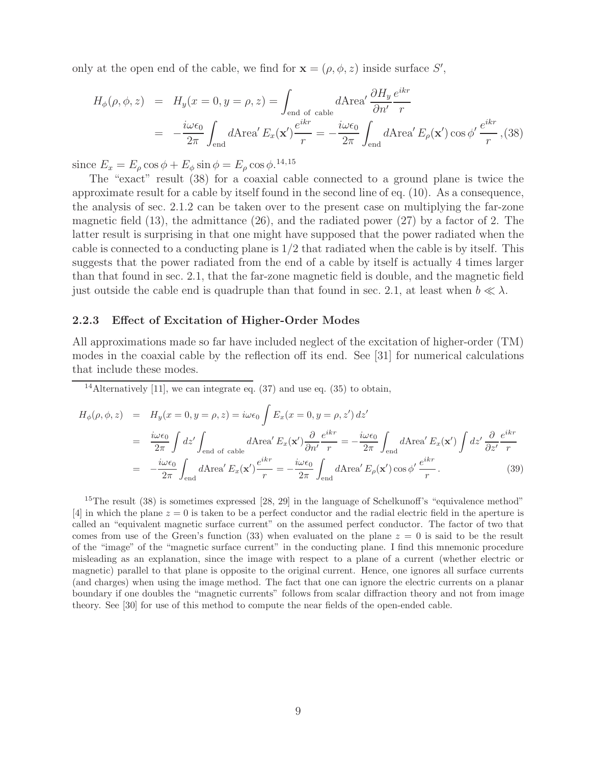only at the open end of the cable, we find for  $\mathbf{x} = (\rho, \phi, z)$  inside surface S',

$$
H_{\phi}(\rho, \phi, z) = H_{y}(x = 0, y = \rho, z) = \int_{\text{end of cable}} d\text{Area}' \frac{\partial H_{y}}{\partial n'} \frac{e^{ikr}}{r}
$$
  
= 
$$
-\frac{i\omega\epsilon_{0}}{2\pi} \int_{\text{end}} d\text{Area}' E_{x}(\mathbf{x}') \frac{e^{ikr}}{r} = -\frac{i\omega\epsilon_{0}}{2\pi} \int_{\text{end}} d\text{Area}' E_{\rho}(\mathbf{x}') \cos \phi' \frac{e^{ikr}}{r}, (38)
$$

since  $E_x = E_\rho \cos \phi + E_\phi \sin \phi = E_\rho \cos \phi$ .<sup>14,15</sup>

The "exact" result (38) for a coaxial cable connected to a ground plane is twice the approximate result for a cable by itself found in the second line of eq. (10). As a consequence, the analysis of sec. 2.1.2 can be taken over to the present case on multiplying the far-zone magnetic field  $(13)$ , the admittance  $(26)$ , and the radiated power  $(27)$  by a factor of 2. The latter result is surprising in that one might have supposed that the power radiated when the cable is connected to a conducting plane is  $1/2$  that radiated when the cable is by itself. This suggests that the power radiated from the end of a cable by itself is actually 4 times larger than that found in sec. 2.1, that the far-zone magnetic field is double, and the magnetic field just outside the cable end is quadruple than that found in sec. 2.1, at least when  $b \ll \lambda$ .

#### **2.2.3 Effect of Excitation of Higher-Order Modes**

All approximations made so far have included neglect of the excitation of higher-order (TM) modes in the coaxial cable by the reflection off its end. See [31] for numerical calculations that include these modes.

<sup>14</sup>Alternatively [11], we can integrate eq.  $(37)$  and use eq.  $(35)$  to obtain,

$$
H_{\phi}(\rho,\phi,z) = H_{y}(x=0,y=\rho,z) = i\omega\epsilon_{0} \int E_{x}(x=0,y=\rho,z') dz'
$$
  
\n
$$
= \frac{i\omega\epsilon_{0}}{2\pi} \int dz' \int_{\text{end of cable}} d\text{Area}' E_{x}(\mathbf{x}') \frac{\partial}{\partial n'} \frac{e^{ikr}}{r} = -\frac{i\omega\epsilon_{0}}{2\pi} \int_{\text{end}} d\text{Area}' E_{x}(\mathbf{x}') \int dz' \frac{\partial}{\partial z'} \frac{e^{ikr}}{r}
$$
  
\n
$$
= -\frac{i\omega\epsilon_{0}}{2\pi} \int_{\text{end}} d\text{Area}' E_{x}(\mathbf{x}') \frac{e^{ikr}}{r} = -\frac{i\omega\epsilon_{0}}{2\pi} \int_{\text{end}} d\text{Area}' E_{\rho}(\mathbf{x}') \cos \phi' \frac{e^{ikr}}{r}.
$$
 (39)

<sup>15</sup>The result  $(38)$  is sometimes expressed [28, 29] in the language of Schelkunoff's "equivalence method" [4] in which the plane  $z = 0$  is taken to be a perfect conductor and the radial electric field in the aperture is called an "equivalent magnetic surface current" on the assumed perfect conductor. The factor of two that comes from use of the Green's function (33) when evaluated on the plane  $z = 0$  is said to be the result of the "image" of the "magnetic surface current" in the conducting plane. I find this mnemonic procedure misleading as an explanation, since the image with respect to a plane of a current (whether electric or magnetic) parallel to that plane is opposite to the original current. Hence, one ignores all surface currents (and charges) when using the image method. The fact that one can ignore the electric currents on a planar boundary if one doubles the "magnetic currents" follows from scalar diffraction theory and not from image theory. See [30] for use of this method to compute the near fields of the open-ended cable.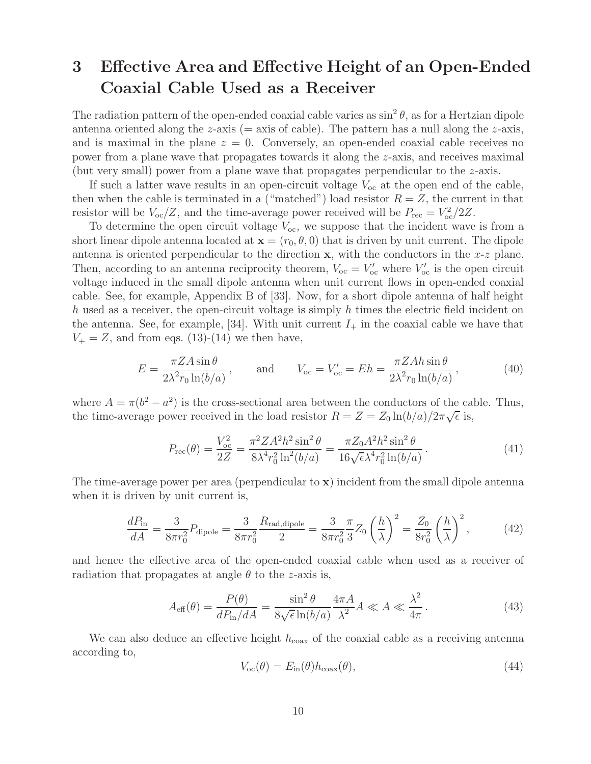# **3 Effective Area and Effective Height of an Open-Ended Coaxial Cable Used as a Receiver**

The radiation pattern of the open-ended coaxial cable varies as  $\sin^2 \theta$ , as for a Hertzian dipole antenna oriented along the  $z$ -axis (= axis of cable). The pattern has a null along the  $z$ -axis, and is maximal in the plane  $z = 0$ . Conversely, an open-ended coaxial cable receives no power from a plane wave that propagates towards it along the z-axis, and receives maximal (but very small) power from a plane wave that propagates perpendicular to the z-axis.

If such a latter wave results in an open-circuit voltage  $V_{oc}$  at the open end of the cable, then when the cable is terminated in a ("matched") load resistor  $R = Z$ , the current in that resistor will be  $V_{\text{oc}}/Z$ , and the time-average power received will be  $P_{\text{rec}} = V_{\text{oc}}^2/2Z$ .

To determine the open circuit voltage  $V_{oc}$ , we suppose that the incident wave is from a short linear dipole antenna located at  $\mathbf{x} = (r_0, \theta, 0)$  that is driven by unit current. The dipole antenna is oriented perpendicular to the direction **x**, with the conductors in the  $x-z$  plane. Then, according to an antenna reciprocity theorem,  $V_{oc} = V'_{oc}$  where  $V'_{oc}$  is the open circuit voltage induced in the small dipole antenna when unit current flows in open-ended coaxial cable. See, for example, Appendix B of [33]. Now, for a short dipole antenna of half height h used as a receiver, the open-circuit voltage is simply h times the electric field incident on the antenna. See, for example, [34]. With unit current  $I_+$  in the coaxial cable we have that  $V_+ = Z$ , and from eqs. (13)-(14) we then have,

$$
E = \frac{\pi Z A \sin \theta}{2\lambda^2 r_0 \ln(b/a)}, \quad \text{and} \quad V_{\text{oc}} = V_{\text{oc}}' = Eh = \frac{\pi Z A h \sin \theta}{2\lambda^2 r_0 \ln(b/a)}, \tag{40}
$$

where  $A = \pi(b^2 - a^2)$  is the cross-sectional area between the conductors of the cable. Thus, where  $A = \pi(\theta - a)$  is the cross-sectional area between the conductors of the calculation  $R = Z = Z_0 \ln(b/a)/2\pi\sqrt{\epsilon}$  is,

$$
P_{\rm rec}(\theta) = \frac{V_{\rm oc}^2}{2Z} = \frac{\pi^2 Z A^2 h^2 \sin^2 \theta}{8\lambda^4 r_0^2 \ln^2(b/a)} = \frac{\pi Z_0 A^2 h^2 \sin^2 \theta}{16\sqrt{\epsilon} \lambda^4 r_0^2 \ln(b/a)}.
$$
(41)

The time-average power per area (perpendicular to **x**) incident from the small dipole antenna when it is driven by unit current is,

$$
\frac{dP_{\text{in}}}{dA} = \frac{3}{8\pi r_0^2} P_{\text{dipole}} = \frac{3}{8\pi r_0^2} \frac{R_{\text{rad,dipole}}}{2} = \frac{3}{8\pi r_0^2} \frac{\pi}{3} Z_0 \left(\frac{h}{\lambda}\right)^2 = \frac{Z_0}{8r_0^2} \left(\frac{h}{\lambda}\right)^2, \tag{42}
$$

and hence the effective area of the open-ended coaxial cable when used as a receiver of radiation that propagates at angle  $\theta$  to the z-axis is,

$$
A_{\text{eff}}(\theta) = \frac{P(\theta)}{dP_{\text{in}}/dA} = \frac{\sin^2 \theta}{8\sqrt{\epsilon}\ln(b/a)} \frac{4\pi A}{\lambda^2} A \ll A \ll \frac{\lambda^2}{4\pi}.
$$
 (43)

We can also deduce an effective height  $h_{\text{coax}}$  of the coaxial cable as a receiving antenna according to,

$$
V_{\rm oc}(\theta) = E_{\rm in}(\theta) h_{\rm coax}(\theta),\tag{44}
$$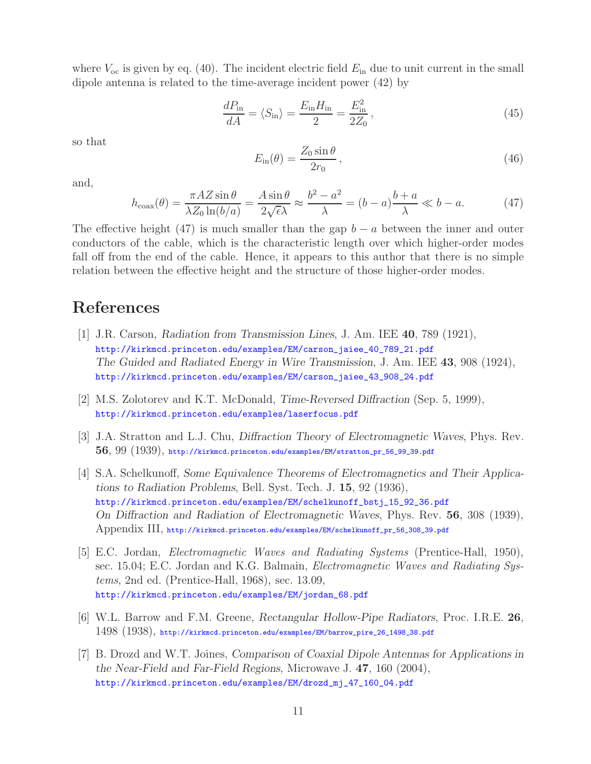where  $V_{\text{oc}}$  is given by eq. (40). The incident electric field  $E_{\text{in}}$  due to unit current in the small dipole antenna is related to the time-average incident power (42) by

$$
\frac{dP_{\rm in}}{dA} = \langle S_{\rm in} \rangle = \frac{E_{\rm in} H_{\rm in}}{2} = \frac{E_{\rm in}^2}{2Z_0},\tag{45}
$$

so that

$$
E_{\rm in}(\theta) = \frac{Z_0 \sin \theta}{2r_0},\qquad(46)
$$

and,

$$
h_{\text{coax}}(\theta) = \frac{\pi A Z \sin \theta}{\lambda Z_0 \ln(b/a)} = \frac{A \sin \theta}{2\sqrt{\epsilon}\lambda} \approx \frac{b^2 - a^2}{\lambda} = (b - a)\frac{b + a}{\lambda} \ll b - a. \tag{47}
$$

The effective height (47) is much smaller than the gap  $b - a$  between the inner and outer conductors of the cable, which is the characteristic length over which higher-order modes fall off from the end of the cable. Hence, it appears to this author that there is no simple relation between the effective height and the structure of those higher-order modes.

# **References**

- [1] J.R. Carson, *Radiation from Transmission Lines*, J. Am. IEE **40**, 789 (1921), http://kirkmcd.princeton.edu/examples/EM/carson\_jaiee\_40\_789\_21.pdf *The Guided and Radiated Energy in Wire Transmission*, J. Am. IEE **43**, 908 (1924), http://kirkmcd.princeton.edu/examples/EM/carson\_jaiee\_43\_908\_24.pdf
- [2] M.S. Zolotorev and K.T. McDonald, *Time-Reversed Diffraction* (Sep. 5, 1999), http://kirkmcd.princeton.edu/examples/laserfocus.pdf
- [3] J.A. Stratton and L.J. Chu, *Diffraction Theory of Electromagnetic Waves*, Phys. Rev. **56**, 99 (1939), http://kirkmcd.princeton.edu/examples/EM/stratton\_pr\_56\_99\_39.pdf
- [4] S.A. Schelkunoff, *Some Equivalence Theorems of Electromagnetics and Their Applications to Radiation Problems*, Bell. Syst. Tech. J. **15**, 92 (1936), http://kirkmcd.princeton.edu/examples/EM/schelkunoff\_bstj\_15\_92\_36.pdf *On Diffraction and Radiation of Electromagnetic Waves*, Phys. Rev. **56**, 308 (1939), Appendix III, http://kirkmcd.princeton.edu/examples/EM/schelkunoff\_pr\_56\_308\_39.pdf
- [5] E.C. Jordan, *Electromagnetic Waves and Radiating Systems* (Prentice-Hall, 1950), sec. 15.04; E.C. Jordan and K.G. Balmain, *Electromagnetic Waves and Radiating Systems*, 2nd ed. (Prentice-Hall, 1968), sec. 13.09, http://kirkmcd.princeton.edu/examples/EM/jordan\_68.pdf
- [6] W.L. Barrow and F.M. Greene, *Rectangular Hollow-Pipe Radiators*, Proc. I.R.E. **26**, 1498 (1938), http://kirkmcd.princeton.edu/examples/EM/barrow\_pire\_26\_1498\_38.pdf
- [7] B. Drozd and W.T. Joines, *Comparison of Coaxial Dipole Antennas for Applications in the Near-Field and Far-Field Regions*, Microwave J. **47**, 160 (2004), http://kirkmcd.princeton.edu/examples/EM/drozd\_mj\_47\_160\_04.pdf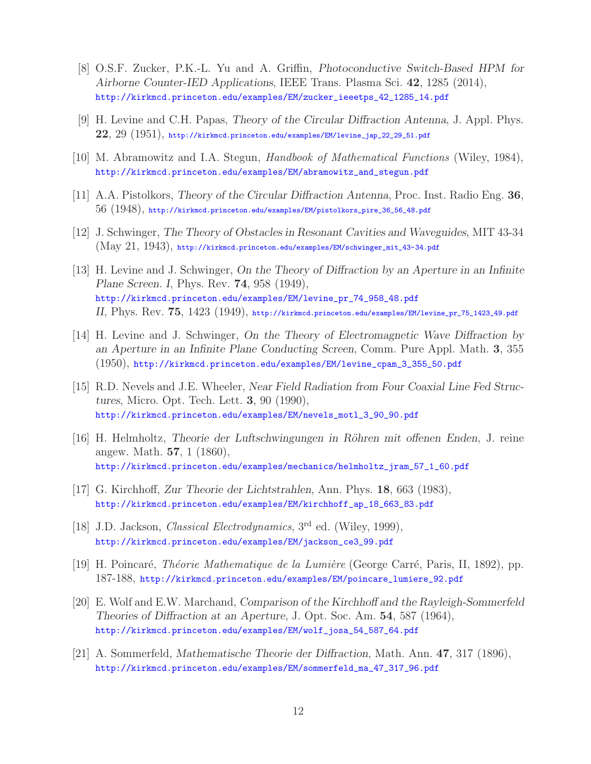- [8] O.S.F. Zucker, P.K.-L. Yu and A. Griffin, *Photoconductive Switch-Based HPM for Airborne Counter-IED Applications*, IEEE Trans. Plasma Sci. **42**, 1285 (2014), http://kirkmcd.princeton.edu/examples/EM/zucker\_ieeetps\_42\_1285\_14.pdf
- [9] H. Levine and C.H. Papas, *Theory of the Circular Diffraction Antenna*, J. Appl. Phys. **22**, 29 (1951), http://kirkmcd.princeton.edu/examples/EM/levine\_jap\_22\_29\_51.pdf
- [10] M. Abramowitz and I.A. Stegun, *Handbook of Mathematical Functions* (Wiley, 1984), http://kirkmcd.princeton.edu/examples/EM/abramowitz\_and\_stegun.pdf
- [11] A.A. Pistolkors, *Theory of the Circular Diffraction Antenna*, Proc. Inst. Radio Eng. **36**, 56 (1948), http://kirkmcd.princeton.edu/examples/EM/pistolkors\_pire\_36\_56\_48.pdf
- [12] J. Schwinger, *The Theory of Obstacles in Resonant Cavities and Waveguides*, MIT 43-34 (May 21, 1943), http://kirkmcd.princeton.edu/examples/EM/schwinger\_mit\_43-34.pdf
- [13] H. Levine and J. Schwinger, *On the Theory of Diffraction by an Aperture in an Infinite Plane Screen. I*, Phys. Rev. **74**, 958 (1949), http://kirkmcd.princeton.edu/examples/EM/levine\_pr\_74\_958\_48.pdf *II*, Phys. Rev. **75**, 1423 (1949), http://kirkmcd.princeton.edu/examples/EM/levine\_pr\_75\_1423\_49.pdf
- [14] H. Levine and J. Schwinger, *On the Theory of Electromagnetic Wave Diffraction by an Aperture in an Infinite Plane Conducting Screen*, Comm. Pure Appl. Math. **3**, 355 (1950), http://kirkmcd.princeton.edu/examples/EM/levine\_cpam\_3\_355\_50.pdf
- [15] R.D. Nevels and J.E. Wheeler, *Near Field Radiation from Four Coaxial Line Fed Structures*, Micro. Opt. Tech. Lett. **3**, 90 (1990), http://kirkmcd.princeton.edu/examples/EM/nevels\_motl\_3\_90\_90.pdf
- [16] H. Helmholtz, *Theorie der Luftschwingungen in R¨ohren mit offenen Enden*, J. reine angew. Math. **57**, 1 (1860), http://kirkmcd.princeton.edu/examples/mechanics/helmholtz\_jram\_57\_1\_60.pdf
- [17] G. Kirchhoff, *Zur Theorie der Lichtstrahlen*, Ann. Phys. **18**, 663 (1983), http://kirkmcd.princeton.edu/examples/EM/kirchhoff\_ap\_18\_663\_83.pdf
- [18] J.D. Jackson, *Classical Electrodynamics*, 3rd ed. (Wiley, 1999), http://kirkmcd.princeton.edu/examples/EM/jackson\_ce3\_99.pdf
- [19] H. Poincar´e, *Th´eorie Mathematique de la Lumi`ere* (George Carr´e, Paris, II, 1892), pp. 187-188, http://kirkmcd.princeton.edu/examples/EM/poincare\_lumiere\_92.pdf
- [20] E. Wolf and E.W. Marchand, *Comparison of the Kirchhoff and the Rayleigh-Sommerfeld Theories of Diffraction at an Aperture*, J. Opt. Soc. Am. **54**, 587 (1964), http://kirkmcd.princeton.edu/examples/EM/wolf\_josa\_54\_587\_64.pdf
- [21] A. Sommerfeld, *Mathematische Theorie der Diffraction*, Math. Ann. **47**, 317 (1896), http://kirkmcd.princeton.edu/examples/EM/sommerfeld\_ma\_47\_317\_96.pdf